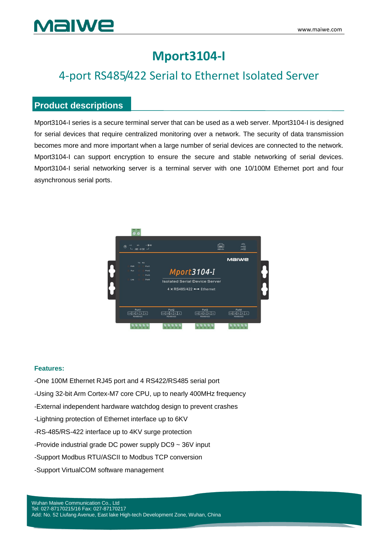## **Mport3104-I**

## 4-port RS485/422 Serial to Ethernet Isolated Server

### **Product descriptions**

Mport3104-I series is a secure terminal server that can be used as a web server. Mport3104-I is designed for serial devices that require centralized monitoring over a network. The security of data transmission becomes more and more important when a large number of serial devices are connected to the network. Mport3104-I can support encryption to ensure the secure and stable networking of serial devices. Mport3104-I serial networking server is a terminal server with one 10/100M Ethernet port and four asynchronous serial ports.



#### **Features:**

- -One 100M Ethernet RJ45 port and 4 RS422/RS485 serial port
- -Using 32-bit Arm Cortex-M7 core CPU, up to nearly 400MHz frequency
- -External independent hardware watchdog design to prevent crashes
- -Lightning protection of Ethernet interface up to 6KV
- -RS-485/RS-422 interface up to 4KV surge protection
- -Provide industrial grade DC power supply DC9 ~ 36V input
- -Support Modbus RTU/ASCII to Modbus TCP conversion
- -Support VirtualCOM software management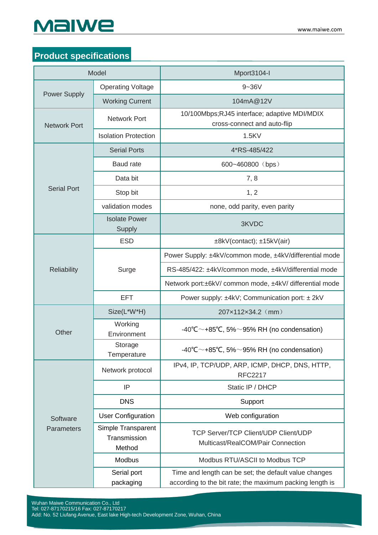# MaIWe

### **Product specifications**

| Model                         |                                              | Mport3104-I                                                                                                       |
|-------------------------------|----------------------------------------------|-------------------------------------------------------------------------------------------------------------------|
| <b>Power Supply</b>           | <b>Operating Voltage</b>                     | $9 - 36V$                                                                                                         |
|                               | <b>Working Current</b>                       | 104mA@12V                                                                                                         |
| <b>Network Port</b>           | <b>Network Port</b>                          | 10/100Mbps;RJ45 interface; adaptive MDI/MDIX<br>cross-connect and auto-flip                                       |
|                               | <b>Isolation Protection</b>                  | 1.5KV                                                                                                             |
| <b>Serial Port</b>            | <b>Serial Ports</b>                          | 4*RS-485/422                                                                                                      |
|                               | <b>Baud</b> rate                             | 600~460800 (bps)                                                                                                  |
|                               | Data bit                                     | 7,8                                                                                                               |
|                               | Stop bit                                     | 1, 2                                                                                                              |
|                               | validation modes                             | none, odd parity, even parity                                                                                     |
|                               | <b>Isolate Power</b><br>Supply               | 3KVDC                                                                                                             |
|                               | <b>ESD</b>                                   | ±8kV(contact); ±15kV(air)                                                                                         |
|                               | Surge                                        | Power Supply: ±4kV/common mode, ±4kV/differential mode                                                            |
| <b>Reliability</b>            |                                              | RS-485/422: ±4kV/common mode, ±4kV/differential mode                                                              |
|                               |                                              | Network port:±6kV/ common mode, ±4kV/ differential mode                                                           |
|                               | <b>EFT</b>                                   | Power supply: ±4kV; Communication port: ± 2kV                                                                     |
|                               | Size(L*W*H)                                  | 207×112×34.2 (mm)                                                                                                 |
| Other                         | Working<br>Environment                       | -40°C $\sim$ +85°C, 5% $\sim$ 95% RH (no condensation)                                                            |
|                               | Storage<br>Temperature                       | -40°C $\sim$ +85°C, 5% $\sim$ 95% RH (no condensation)                                                            |
|                               | Network protocol                             | IPv4, IP, TCP/UDP, ARP, ICMP, DHCP, DNS, HTTP,<br><b>RFC2217</b>                                                  |
|                               | IP                                           | Static IP / DHCP                                                                                                  |
| Software<br><b>Parameters</b> | <b>DNS</b>                                   | Support                                                                                                           |
|                               | <b>User Configuration</b>                    | Web configuration                                                                                                 |
|                               | Simple Transparent<br>Transmission<br>Method | <b>TCP Server/TCP Client/UDP Client/UDP</b><br>Multicast/RealCOM/Pair Connection                                  |
|                               | Modbus                                       | Modbus RTU/ASCII to Modbus TCP                                                                                    |
|                               | Serial port<br>packaging                     | Time and length can be set; the default value changes<br>according to the bit rate; the maximum packing length is |